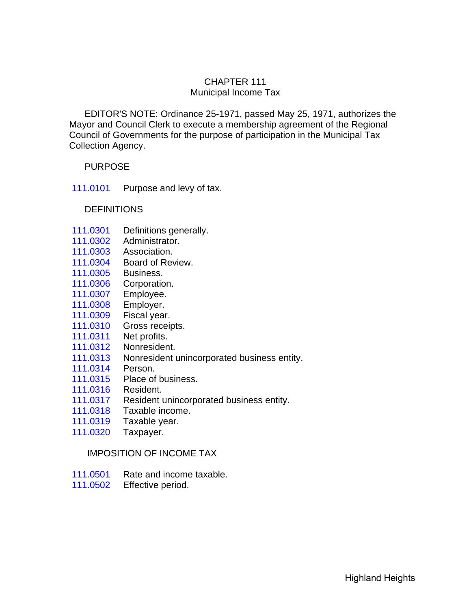## CHAPTER 111 Municipal Income Tax

 EDITOR'S NOTE: Ordinance 25-1971, passed May 25, 1971, authorizes the Mayor and Council Clerk to execute a membership agreement of the Regional Council of Governments for the purpose of participation in the Municipal Tax Collection Agency.

## PURPOSE

[111.0101](#page-3-0) Purpose and levy of tax.

#### **DEFINITIONS**

- [111.0301](#page-3-0) Definitions generally.
- 111.0302 Administrator.
- 111.0303 Association.
- [111.0304](#page-4-0) Board of Review.
- 111.0305 Business.
- 111.0306 Corporation.
- 111.0307 Employee.
- 111.0308 Employer.
- 111.0309 Fiscal year.
- 111.0310 Gross receipts.
- 111.0311 Net profits.
- 111.0312 Nonresident.
- 111.0313 Nonresident unincorporated business entity.
- 111.0314 Person.
- 111.0315 Place of business.
- [111.0316](#page-5-0) Resident.
- [111.0317](#page-6-0) Resident unincorporated business entity.
- 111.0318 Taxable income.
- 111.0319 Taxable year.
- 111.0320 Taxpayer.

### IMPOSITION OF INCOME TAX

- [111.0501](#page-6-0) Rate and income taxable.
- [111.0502](#page-7-0) Effective period.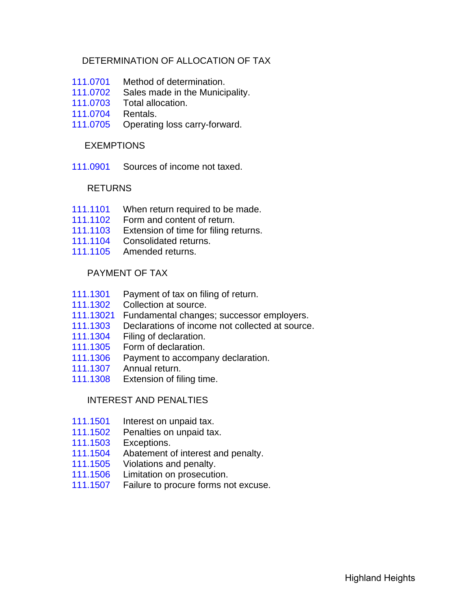## DETERMINATION OF ALLOCATION OF TAX

- [111.0701](#page-8-0) Method of determination.
- [111.0702](#page-9-0) Sales made in the Municipality.
- 111.0703 Total allocation.
- 111.0704 Rentals.
- [111.0705](#page-10-0) Operating loss carry-forward.

### EXEMPTIONS

 [111.0901](#page-10-0) Sources of income not taxed.

### RETURNS

- [111.1101](#page-11-0) When return required to be made.
- [111.1102](#page-12-0) Form and content of return.
- 111.1103 Extension of time for filing returns.
- 111.1104 Consolidated returns.
- [111.1105](#page-13-0) Amended returns.

## PAYMENT OF TAX

- [111.1301](#page-13-0) Payment of tax on filing of return.
- [111.1302](#page-14-0) Collection at source.
- [111.13021](#page-15-0) Fundamental changes; successor employers.
- 111.1303 Declarations of income not collected at source.
- [111.1304](#page-16-0) Filing of declaration.
- 111.1305 Form of declaration.
- 111.1306 Payment to accompany declaration.
- 111.1307 Annual return.
- [111.1308](#page-17-0) Extension of filing time.

### INTEREST AND PENALTIES

- [111.1501](#page-17-0) Interest on unpaid tax.
- 111.1502 Penalties on unpaid tax.
- 111.1503 Exceptions.
- [111.1504](#page-18-0) Abatement of interest and penalty.
- 111.1505 Violations and penalty.
- [111.1506](#page-19-0) Limitation on prosecution.
- 111.1507 Failure to procure forms not excuse.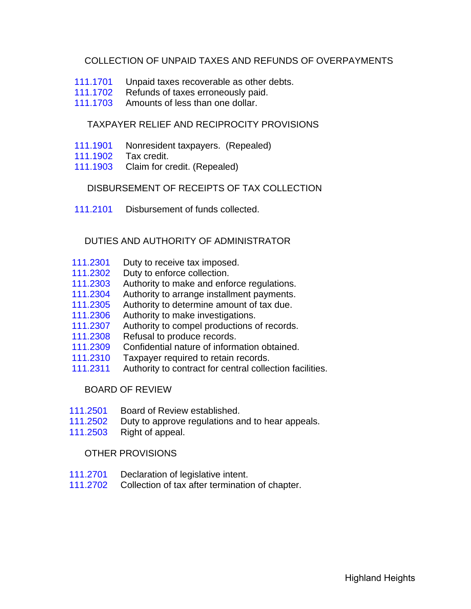## COLLECTION OF UNPAID TAXES AND REFUNDS OF OVERPAYMENTS

- [111.1701](#page-19-0) Unpaid taxes recoverable as other debts.
- 111.1702 Refunds of taxes erroneously paid.
- [111.1703](#page-20-0) Amounts of less than one dollar.

# TAXPAYER RELIEF AND RECIPROCITY PROVISIONS

- [111.1901](#page-20-0) Nonresident taxpayers. (Repealed)
- 111.1902 Tax credit.
- 111.1903 Claim for credit. (Repealed)

#### DISBURSEMENT OF RECEIPTS OF TAX COLLECTION

[111.2101](#page-20-0) Disbursement of funds collected.

### DUTIES AND AUTHORITY OF ADMINISTRATOR

- [111.2301](#page-21-0) Duty to receive tax imposed.
- 111.2302 Duty to enforce collection.
- 111.2303 Authority to make and enforce regulations.
- [111.2304](#page-22-0) Authority to arrange installment payments.
- 111.2305 Authority to determine amount of tax due.
- 111.2306 Authority to make investigations.
- 111.2307 Authority to compel productions of records.
- [111.2308](#page-23-0) Refusal to produce records.
- 111.2309 Confidential nature of information obtained.
- 111.2310 Taxpayer required to retain records.
- 111.2311 Authority to contract for central collection facilities.

### BOARD OF REVIEW

- [111.2501](#page-24-0) Board of Review established.
- 111.2502 Duty to approve regulations and to hear appeals.
- 111.2503 Right of appeal.

#### OTHER PROVISIONS

- [111.2701](#page-25-0) Declaration of legislative intent.
- 111.2702 Collection of tax after termination of chapter.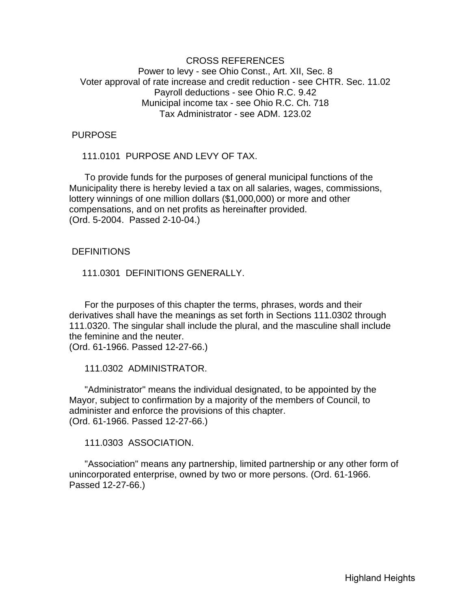#### <span id="page-3-0"></span>CROSS REFERENCES Power to levy - see Ohio Const., Art. XII, Sec. 8 Voter approval of rate increase and credit reduction - see CHTR. Sec. 11.02 Payroll deductions - see Ohio R.C. 9.42 Municipal income tax - see Ohio R.C. Ch. 718 Tax Administrator - see ADM. 123.02

#### PURPOSE

111.0101 PURPOSE AND LEVY OF TAX.

 To provide funds for the purposes of general municipal functions of the Municipality there is hereby levied a tax on all salaries, wages, commissions, lottery winnings of one million dollars (\$1,000,000) or more and other compensations, and on net profits as hereinafter provided. (Ord. 5-2004. Passed 2-10-04.)

#### **DEFINITIONS**

111.0301 DEFINITIONS GENERALLY.

 For the purposes of this chapter the terms, phrases, words and their derivatives shall have the meanings as set forth in Sections 111.0302 through 111.0320. The singular shall include the plural, and the masculine shall include the feminine and the neuter.

(Ord. 61-1966. Passed 12-27-66.)

111.0302 ADMINISTRATOR.

 "Administrator" means the individual designated, to be appointed by the Mayor, subject to confirmation by a majority of the members of Council, to administer and enforce the provisions of this chapter. (Ord. 61-1966. Passed 12-27-66.)

111.0303 ASSOCIATION.

 "Association" means any partnership, limited partnership or any other form of unincorporated enterprise, owned by two or more persons. (Ord. 61-1966. Passed 12-27-66.)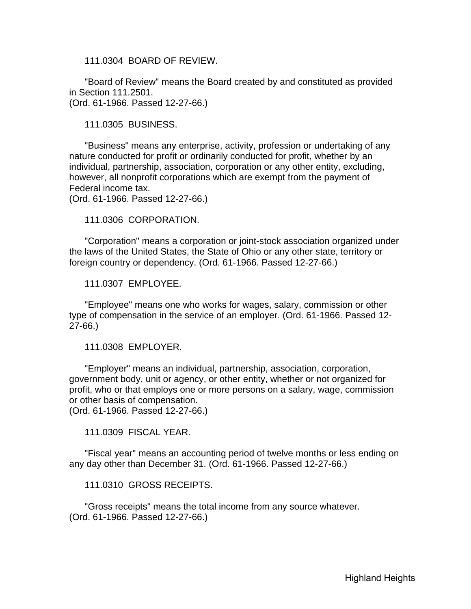<span id="page-4-0"></span>111.0304 BOARD OF REVIEW.

 "Board of Review" means the Board created by and constituted as provided in Section 111.2501. (Ord. 61-1966. Passed 12-27-66.)

111.0305 BUSINESS.

 "Business" means any enterprise, activity, profession or undertaking of any nature conducted for profit or ordinarily conducted for profit, whether by an individual, partnership, association, corporation or any other entity, excluding, however, all nonprofit corporations which are exempt from the payment of Federal income tax.

(Ord. 61-1966. Passed 12-27-66.)

111.0306 CORPORATION.

 "Corporation" means a corporation or joint-stock association organized under the laws of the United States, the State of Ohio or any other state, territory or foreign country or dependency. (Ord. 61-1966. Passed 12-27-66.)

111.0307 EMPLOYEE.

 "Employee" means one who works for wages, salary, commission or other type of compensation in the service of an employer. (Ord. 61-1966. Passed 12- 27-66.)

111.0308 EMPLOYER.

 "Employer" means an individual, partnership, association, corporation, government body, unit or agency, or other entity, whether or not organized for profit, who or that employs one or more persons on a salary, wage, commission or other basis of compensation. (Ord. 61-1966. Passed 12-27-66.)

111.0309 FISCAL YEAR.

 "Fiscal year" means an accounting period of twelve months or less ending on any day other than December 31. (Ord. 61-1966. Passed 12-27-66.)

111.0310 GROSS RECEIPTS.

 "Gross receipts" means the total income from any source whatever. (Ord. 61-1966. Passed 12-27-66.)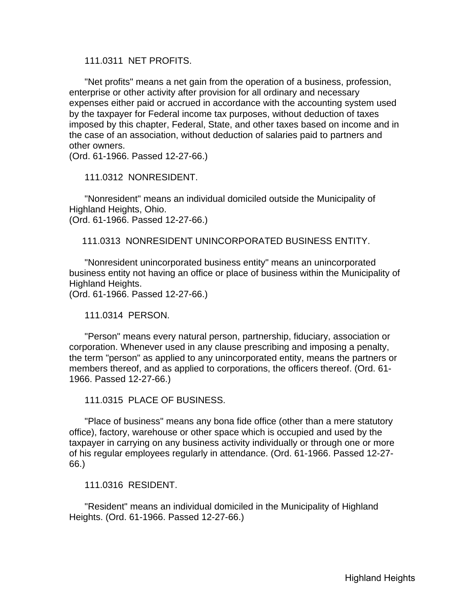<span id="page-5-0"></span>111.0311 NET PROFITS.

 "Net profits" means a net gain from the operation of a business, profession, enterprise or other activity after provision for all ordinary and necessary expenses either paid or accrued in accordance with the accounting system used by the taxpayer for Federal income tax purposes, without deduction of taxes imposed by this chapter, Federal, State, and other taxes based on income and in the case of an association, without deduction of salaries paid to partners and other owners.

(Ord. 61-1966. Passed 12-27-66.)

111.0312 NONRESIDENT.

 "Nonresident" means an individual domiciled outside the Municipality of Highland Heights, Ohio.

(Ord. 61-1966. Passed 12-27-66.)

111.0313 NONRESIDENT UNINCORPORATED BUSINESS ENTITY.

 "Nonresident unincorporated business entity" means an unincorporated business entity not having an office or place of business within the Municipality of Highland Heights.

(Ord. 61-1966. Passed 12-27-66.)

111.0314 PERSON.

 "Person" means every natural person, partnership, fiduciary, association or corporation. Whenever used in any clause prescribing and imposing a penalty, the term "person" as applied to any unincorporated entity, means the partners or members thereof, and as applied to corporations, the officers thereof. (Ord. 61- 1966. Passed 12-27-66.)

111.0315 PLACE OF BUSINESS.

 "Place of business" means any bona fide office (other than a mere statutory office), factory, warehouse or other space which is occupied and used by the taxpayer in carrying on any business activity individually or through one or more of his regular employees regularly in attendance. (Ord. 61-1966. Passed 12-27- 66.)

111.0316 RESIDENT.

 "Resident" means an individual domiciled in the Municipality of Highland Heights. (Ord. 61-1966. Passed 12-27-66.)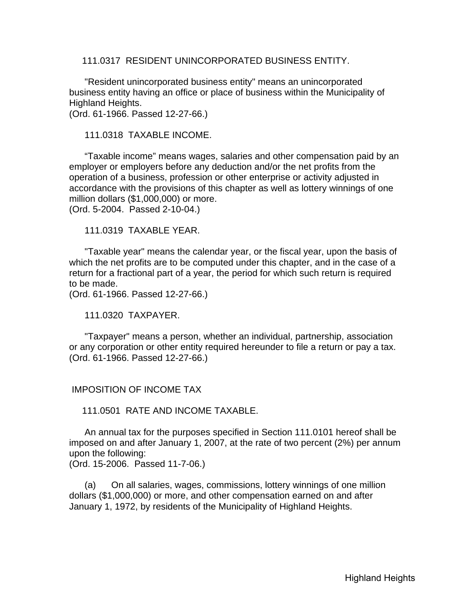<span id="page-6-0"></span>111.0317 RESIDENT UNINCORPORATED BUSINESS ENTITY.

 "Resident unincorporated business entity" means an unincorporated business entity having an office or place of business within the Municipality of Highland Heights. (Ord. 61-1966. Passed 12-27-66.)

111.0318 TAXABLE INCOME.

 "Taxable income" means wages, salaries and other compensation paid by an employer or employers before any deduction and/or the net profits from the operation of a business, profession or other enterprise or activity adjusted in accordance with the provisions of this chapter as well as lottery winnings of one million dollars (\$1,000,000) or more. (Ord. 5-2004. Passed 2-10-04.)

111.0319 TAXABLE YEAR.

 "Taxable year" means the calendar year, or the fiscal year, upon the basis of which the net profits are to be computed under this chapter, and in the case of a return for a fractional part of a year, the period for which such return is required to be made.

(Ord. 61-1966. Passed 12-27-66.)

111.0320 TAXPAYER.

 "Taxpayer" means a person, whether an individual, partnership, association or any corporation or other entity required hereunder to file a return or pay a tax. (Ord. 61-1966. Passed 12-27-66.)

#### IMPOSITION OF INCOME TAX

111.0501 RATE AND INCOME TAXABLE.

 An annual tax for the purposes specified in Section 111.0101 hereof shall be imposed on and after January 1, 2007, at the rate of two percent (2%) per annum upon the following:

(Ord. 15-2006. Passed 11-7-06.)

 (a) On all salaries, wages, commissions, lottery winnings of one million dollars (\$1,000,000) or more, and other compensation earned on and after January 1, 1972, by residents of the Municipality of Highland Heights.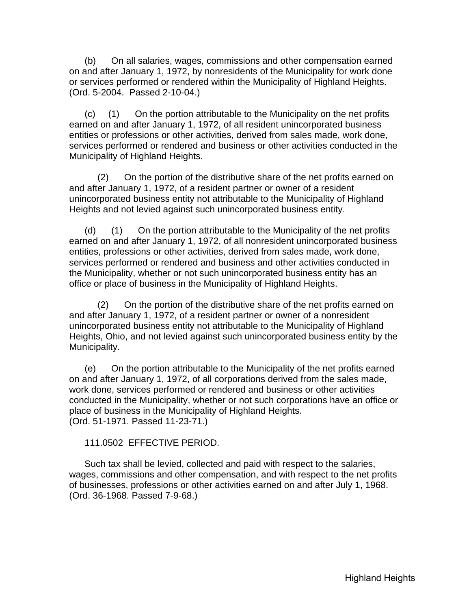<span id="page-7-0"></span> (b) On all salaries, wages, commissions and other compensation earned on and after January 1, 1972, by nonresidents of the Municipality for work done or services performed or rendered within the Municipality of Highland Heights. (Ord. 5-2004. Passed 2-10-04.)

 (c) (1) On the portion attributable to the Municipality on the net profits earned on and after January 1, 1972, of all resident unincorporated business entities or professions or other activities, derived from sales made, work done, services performed or rendered and business or other activities conducted in the Municipality of Highland Heights.

 (2) On the portion of the distributive share of the net profits earned on and after January 1, 1972, of a resident partner or owner of a resident unincorporated business entity not attributable to the Municipality of Highland Heights and not levied against such unincorporated business entity.

 (d) (1) On the portion attributable to the Municipality of the net profits earned on and after January 1, 1972, of all nonresident unincorporated business entities, professions or other activities, derived from sales made, work done, services performed or rendered and business and other activities conducted in the Municipality, whether or not such unincorporated business entity has an office or place of business in the Municipality of Highland Heights.

 (2) On the portion of the distributive share of the net profits earned on and after January 1, 1972, of a resident partner or owner of a nonresident unincorporated business entity not attributable to the Municipality of Highland Heights, Ohio, and not levied against such unincorporated business entity by the Municipality.

 (e) On the portion attributable to the Municipality of the net profits earned on and after January 1, 1972, of all corporations derived from the sales made, work done, services performed or rendered and business or other activities conducted in the Municipality, whether or not such corporations have an office or place of business in the Municipality of Highland Heights. (Ord. 51-1971. Passed 11-23-71.)

111.0502 EFFECTIVE PERIOD.

 Such tax shall be levied, collected and paid with respect to the salaries, wages, commissions and other compensation, and with respect to the net profits of businesses, professions or other activities earned on and after July 1, 1968. (Ord. 36-1968. Passed 7-9-68.)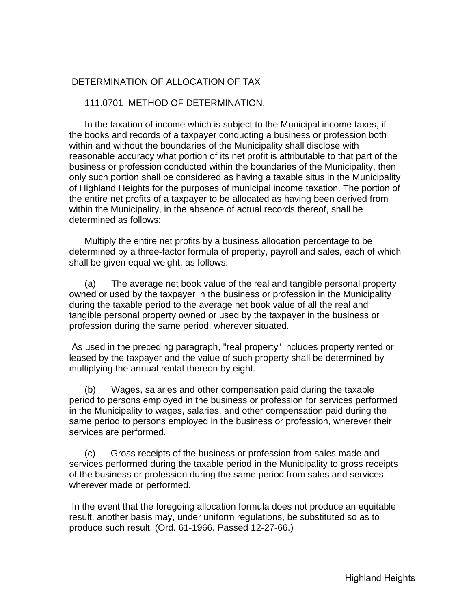## <span id="page-8-0"></span>DETERMINATION OF ALLOCATION OF TAX

#### 111.0701 METHOD OF DETERMINATION.

 In the taxation of income which is subject to the Municipal income taxes, if the books and records of a taxpayer conducting a business or profession both within and without the boundaries of the Municipality shall disclose with reasonable accuracy what portion of its net profit is attributable to that part of the business or profession conducted within the boundaries of the Municipality, then only such portion shall be considered as having a taxable situs in the Municipality of Highland Heights for the purposes of municipal income taxation. The portion of the entire net profits of a taxpayer to be allocated as having been derived from within the Municipality, in the absence of actual records thereof, shall be determined as follows:

 Multiply the entire net profits by a business allocation percentage to be determined by a three-factor formula of property, payroll and sales, each of which shall be given equal weight, as follows:

 (a) The average net book value of the real and tangible personal property owned or used by the taxpayer in the business or profession in the Municipality during the taxable period to the average net book value of all the real and tangible personal property owned or used by the taxpayer in the business or profession during the same period, wherever situated.

 As used in the preceding paragraph, "real property" includes property rented or leased by the taxpayer and the value of such property shall be determined by multiplying the annual rental thereon by eight.

 (b) Wages, salaries and other compensation paid during the taxable period to persons employed in the business or profession for services performed in the Municipality to wages, salaries, and other compensation paid during the same period to persons employed in the business or profession, wherever their services are performed.

 (c) Gross receipts of the business or profession from sales made and services performed during the taxable period in the Municipality to gross receipts of the business or profession during the same period from sales and services, wherever made or performed.

 In the event that the foregoing allocation formula does not produce an equitable result, another basis may, under uniform regulations, be substituted so as to produce such result. (Ord. 61-1966. Passed 12-27-66.)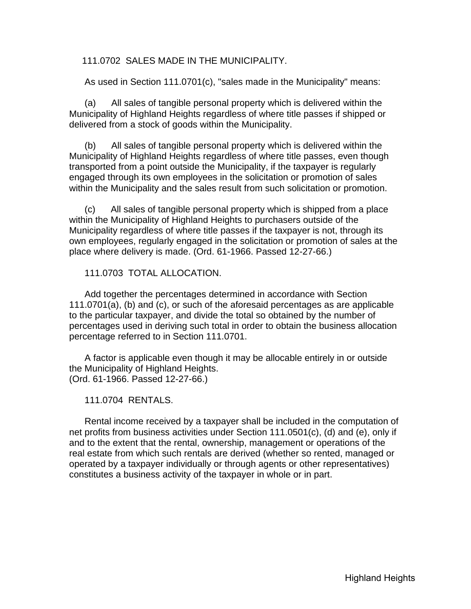<span id="page-9-0"></span>111.0702 SALES MADE IN THE MUNICIPALITY.

As used in Section 111.0701(c), "sales made in the Municipality" means:

 (a) All sales of tangible personal property which is delivered within the Municipality of Highland Heights regardless of where title passes if shipped or delivered from a stock of goods within the Municipality.

 (b) All sales of tangible personal property which is delivered within the Municipality of Highland Heights regardless of where title passes, even though transported from a point outside the Municipality, if the taxpayer is regularly engaged through its own employees in the solicitation or promotion of sales within the Municipality and the sales result from such solicitation or promotion.

 (c) All sales of tangible personal property which is shipped from a place within the Municipality of Highland Heights to purchasers outside of the Municipality regardless of where title passes if the taxpayer is not, through its own employees, regularly engaged in the solicitation or promotion of sales at the place where delivery is made. (Ord. 61-1966. Passed 12-27-66.)

111.0703 TOTAL ALLOCATION.

 Add together the percentages determined in accordance with Section 111.0701(a), (b) and (c), or such of the aforesaid percentages as are applicable to the particular taxpayer, and divide the total so obtained by the number of percentages used in deriving such total in order to obtain the business allocation percentage referred to in Section 111.0701.

 A factor is applicable even though it may be allocable entirely in or outside the Municipality of Highland Heights. (Ord. 61-1966. Passed 12-27-66.)

111.0704 RENTALS.

 Rental income received by a taxpayer shall be included in the computation of net profits from business activities under Section 111.0501(c), (d) and (e), only if and to the extent that the rental, ownership, management or operations of the real estate from which such rentals are derived (whether so rented, managed or operated by a taxpayer individually or through agents or other representatives) constitutes a business activity of the taxpayer in whole or in part.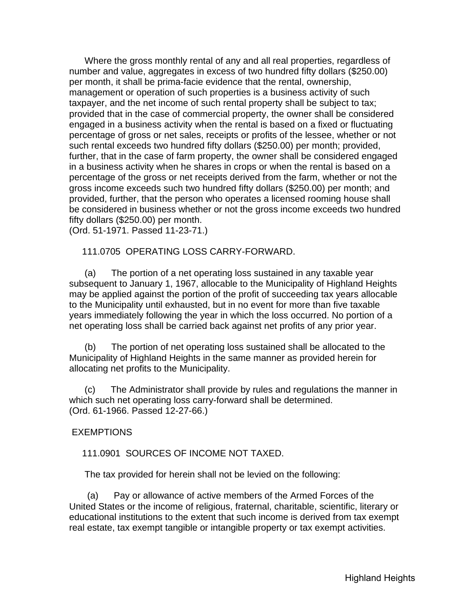<span id="page-10-0"></span> Where the gross monthly rental of any and all real properties, regardless of number and value, aggregates in excess of two hundred fifty dollars (\$250.00) per month, it shall be prima-facie evidence that the rental, ownership, management or operation of such properties is a business activity of such taxpayer, and the net income of such rental property shall be subject to tax; provided that in the case of commercial property, the owner shall be considered engaged in a business activity when the rental is based on a fixed or fluctuating percentage of gross or net sales, receipts or profits of the lessee, whether or not such rental exceeds two hundred fifty dollars (\$250.00) per month; provided, further, that in the case of farm property, the owner shall be considered engaged in a business activity when he shares in crops or when the rental is based on a percentage of the gross or net receipts derived from the farm, whether or not the gross income exceeds such two hundred fifty dollars (\$250.00) per month; and provided, further, that the person who operates a licensed rooming house shall be considered in business whether or not the gross income exceeds two hundred fifty dollars (\$250.00) per month.

(Ord. 51-1971. Passed 11-23-71.)

111.0705 OPERATING LOSS CARRY-FORWARD.

 (a) The portion of a net operating loss sustained in any taxable year subsequent to January 1, 1967, allocable to the Municipality of Highland Heights may be applied against the portion of the profit of succeeding tax years allocable to the Municipality until exhausted, but in no event for more than five taxable years immediately following the year in which the loss occurred. No portion of a net operating loss shall be carried back against net profits of any prior year.

 (b) The portion of net operating loss sustained shall be allocated to the Municipality of Highland Heights in the same manner as provided herein for allocating net profits to the Municipality.

 (c) The Administrator shall provide by rules and regulations the manner in which such net operating loss carry-forward shall be determined. (Ord. 61-1966. Passed 12-27-66.)

**EXEMPTIONS** 

111.0901 SOURCES OF INCOME NOT TAXED.

The tax provided for herein shall not be levied on the following:

 (a) Pay or allowance of active members of the Armed Forces of the United States or the income of religious, fraternal, charitable, scientific, literary or educational institutions to the extent that such income is derived from tax exempt real estate, tax exempt tangible or intangible property or tax exempt activities.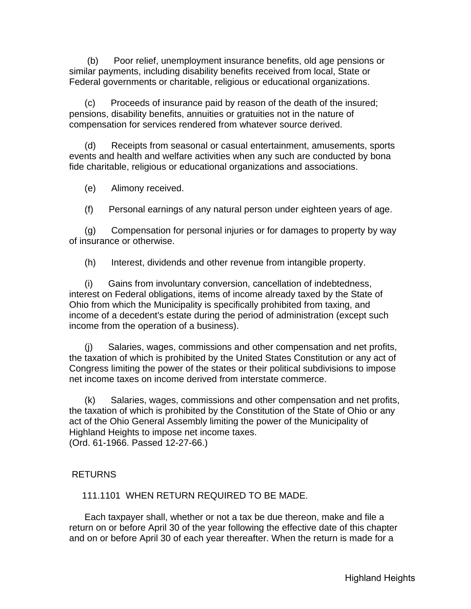<span id="page-11-0"></span> (b) Poor relief, unemployment insurance benefits, old age pensions or similar payments, including disability benefits received from local, State or Federal governments or charitable, religious or educational organizations.

 (c) Proceeds of insurance paid by reason of the death of the insured; pensions, disability benefits, annuities or gratuities not in the nature of compensation for services rendered from whatever source derived.

 (d) Receipts from seasonal or casual entertainment, amusements, sports events and health and welfare activities when any such are conducted by bona fide charitable, religious or educational organizations and associations.

(e) Alimony received.

(f) Personal earnings of any natural person under eighteen years of age.

 (g) Compensation for personal injuries or for damages to property by way of insurance or otherwise.

(h) Interest, dividends and other revenue from intangible property.

 (i) Gains from involuntary conversion, cancellation of indebtedness, interest on Federal obligations, items of income already taxed by the State of Ohio from which the Municipality is specifically prohibited from taxing, and income of a decedent's estate during the period of administration (except such income from the operation of a business).

 (j) Salaries, wages, commissions and other compensation and net profits, the taxation of which is prohibited by the United States Constitution or any act of Congress limiting the power of the states or their political subdivisions to impose net income taxes on income derived from interstate commerce.

 (k) Salaries, wages, commissions and other compensation and net profits, the taxation of which is prohibited by the Constitution of the State of Ohio or any act of the Ohio General Assembly limiting the power of the Municipality of Highland Heights to impose net income taxes. (Ord. 61-1966. Passed 12-27-66.)

# RETURNS

111.1101 WHEN RETURN REQUIRED TO BE MADE.

 Each taxpayer shall, whether or not a tax be due thereon, make and file a return on or before April 30 of the year following the effective date of this chapter and on or before April 30 of each year thereafter. When the return is made for a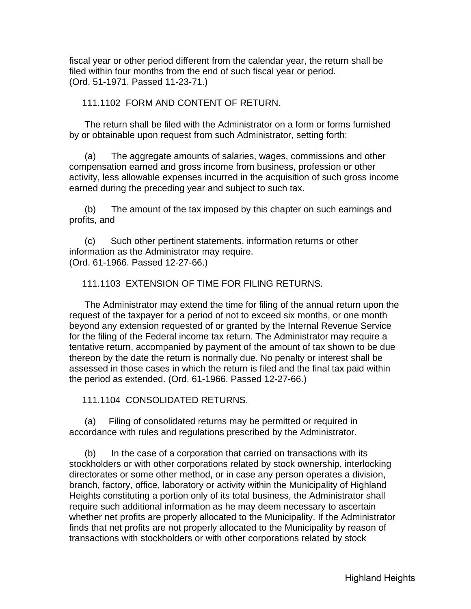<span id="page-12-0"></span>fiscal year or other period different from the calendar year, the return shall be filed within four months from the end of such fiscal year or period. (Ord. 51-1971. Passed 11-23-71.)

#### 111.1102 FORM AND CONTENT OF RETURN.

 The return shall be filed with the Administrator on a form or forms furnished by or obtainable upon request from such Administrator, setting forth:

 (a) The aggregate amounts of salaries, wages, commissions and other compensation earned and gross income from business, profession or other activity, less allowable expenses incurred in the acquisition of such gross income earned during the preceding year and subject to such tax.

 (b) The amount of the tax imposed by this chapter on such earnings and profits, and

 (c) Such other pertinent statements, information returns or other information as the Administrator may require. (Ord. 61-1966. Passed 12-27-66.)

### 111.1103 EXTENSION OF TIME FOR FILING RETURNS.

 The Administrator may extend the time for filing of the annual return upon the request of the taxpayer for a period of not to exceed six months, or one month beyond any extension requested of or granted by the Internal Revenue Service for the filing of the Federal income tax return. The Administrator may require a tentative return, accompanied by payment of the amount of tax shown to be due thereon by the date the return is normally due. No penalty or interest shall be assessed in those cases in which the return is filed and the final tax paid within the period as extended. (Ord. 61-1966. Passed 12-27-66.)

111.1104 CONSOLIDATED RETURNS.

 (a) Filing of consolidated returns may be permitted or required in accordance with rules and regulations prescribed by the Administrator.

 (b) In the case of a corporation that carried on transactions with its stockholders or with other corporations related by stock ownership, interlocking directorates or some other method, or in case any person operates a division, branch, factory, office, laboratory or activity within the Municipality of Highland Heights constituting a portion only of its total business, the Administrator shall require such additional information as he may deem necessary to ascertain whether net profits are properly allocated to the Municipality. If the Administrator finds that net profits are not properly allocated to the Municipality by reason of transactions with stockholders or with other corporations related by stock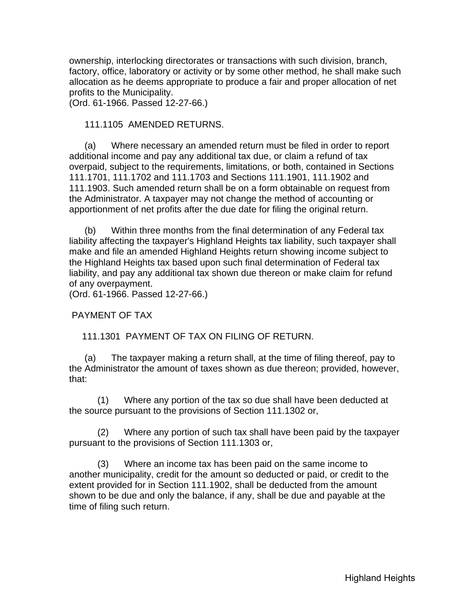<span id="page-13-0"></span>ownership, interlocking directorates or transactions with such division, branch, factory, office, laboratory or activity or by some other method, he shall make such allocation as he deems appropriate to produce a fair and proper allocation of net profits to the Municipality.

(Ord. 61-1966. Passed 12-27-66.)

#### 111.1105 AMENDED RETURNS.

 (a) Where necessary an amended return must be filed in order to report additional income and pay any additional tax due, or claim a refund of tax overpaid, subject to the requirements, limitations, or both, contained in Sections 111.1701, 111.1702 and 111.1703 and Sections 111.1901, 111.1902 and 111.1903. Such amended return shall be on a form obtainable on request from the Administrator. A taxpayer may not change the method of accounting or apportionment of net profits after the due date for filing the original return.

 (b) Within three months from the final determination of any Federal tax liability affecting the taxpayer's Highland Heights tax liability, such taxpayer shall make and file an amended Highland Heights return showing income subject to the Highland Heights tax based upon such final determination of Federal tax liability, and pay any additional tax shown due thereon or make claim for refund of any overpayment.

(Ord. 61-1966. Passed 12-27-66.)

PAYMENT OF TAX

111.1301 PAYMENT OF TAX ON FILING OF RETURN.

 (a) The taxpayer making a return shall, at the time of filing thereof, pay to the Administrator the amount of taxes shown as due thereon; provided, however, that:

 (1) Where any portion of the tax so due shall have been deducted at the source pursuant to the provisions of Section 111.1302 or,

 (2) Where any portion of such tax shall have been paid by the taxpayer pursuant to the provisions of Section 111.1303 or,

 (3) Where an income tax has been paid on the same income to another municipality, credit for the amount so deducted or paid, or credit to the extent provided for in Section 111.1902, shall be deducted from the amount shown to be due and only the balance, if any, shall be due and payable at the time of filing such return.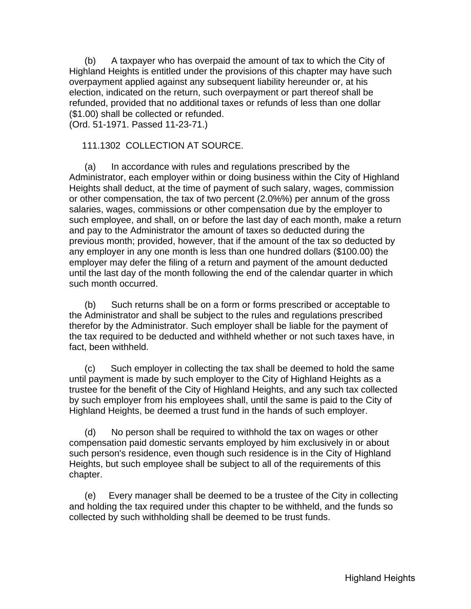<span id="page-14-0"></span> (b) A taxpayer who has overpaid the amount of tax to which the City of Highland Heights is entitled under the provisions of this chapter may have such overpayment applied against any subsequent liability hereunder or, at his election, indicated on the return, such overpayment or part thereof shall be refunded, provided that no additional taxes or refunds of less than one dollar (\$1.00) shall be collected or refunded.

(Ord. 51-1971. Passed 11-23-71.)

### 111.1302 COLLECTION AT SOURCE.

 (a) In accordance with rules and regulations prescribed by the Administrator, each employer within or doing business within the City of Highland Heights shall deduct, at the time of payment of such salary, wages, commission or other compensation, the tax of two percent (2.0%%) per annum of the gross salaries, wages, commissions or other compensation due by the employer to such employee, and shall, on or before the last day of each month, make a return and pay to the Administrator the amount of taxes so deducted during the previous month; provided, however, that if the amount of the tax so deducted by any employer in any one month is less than one hundred dollars (\$100.00) the employer may defer the filing of a return and payment of the amount deducted until the last day of the month following the end of the calendar quarter in which such month occurred.

 (b) Such returns shall be on a form or forms prescribed or acceptable to the Administrator and shall be subject to the rules and regulations prescribed therefor by the Administrator. Such employer shall be liable for the payment of the tax required to be deducted and withheld whether or not such taxes have, in fact, been withheld.

 (c) Such employer in collecting the tax shall be deemed to hold the same until payment is made by such employer to the City of Highland Heights as a trustee for the benefit of the City of Highland Heights, and any such tax collected by such employer from his employees shall, until the same is paid to the City of Highland Heights, be deemed a trust fund in the hands of such employer.

 (d) No person shall be required to withhold the tax on wages or other compensation paid domestic servants employed by him exclusively in or about such person's residence, even though such residence is in the City of Highland Heights, but such employee shall be subject to all of the requirements of this chapter.

 (e) Every manager shall be deemed to be a trustee of the City in collecting and holding the tax required under this chapter to be withheld, and the funds so collected by such withholding shall be deemed to be trust funds.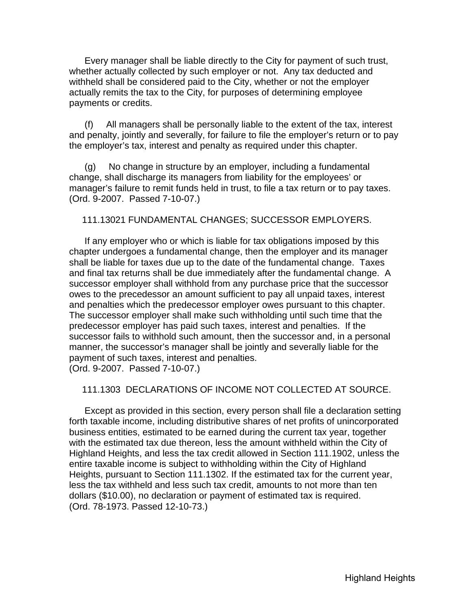<span id="page-15-0"></span> Every manager shall be liable directly to the City for payment of such trust, whether actually collected by such employer or not. Any tax deducted and withheld shall be considered paid to the City, whether or not the employer actually remits the tax to the City, for purposes of determining employee payments or credits.

 (f) All managers shall be personally liable to the extent of the tax, interest and penalty, jointly and severally, for failure to file the employer's return or to pay the employer's tax, interest and penalty as required under this chapter.

 (g) No change in structure by an employer, including a fundamental change, shall discharge its managers from liability for the employees' or manager's failure to remit funds held in trust, to file a tax return or to pay taxes. (Ord. 9-2007. Passed 7-10-07.)

111.13021 FUNDAMENTAL CHANGES; SUCCESSOR EMPLOYERS.

 If any employer who or which is liable for tax obligations imposed by this chapter undergoes a fundamental change, then the employer and its manager shall be liable for taxes due up to the date of the fundamental change. Taxes and final tax returns shall be due immediately after the fundamental change. A successor employer shall withhold from any purchase price that the successor owes to the precedessor an amount sufficient to pay all unpaid taxes, interest and penalties which the predecessor employer owes pursuant to this chapter. The successor employer shall make such withholding until such time that the predecessor employer has paid such taxes, interest and penalties. If the successor fails to withhold such amount, then the successor and, in a personal manner, the successor's manager shall be jointly and severally liable for the payment of such taxes, interest and penalties. (Ord. 9-2007. Passed 7-10-07.)

#### 111.1303 DECLARATIONS OF INCOME NOT COLLECTED AT SOURCE.

 Except as provided in this section, every person shall file a declaration setting forth taxable income, including distributive shares of net profits of unincorporated business entities, estimated to be earned during the current tax year, together with the estimated tax due thereon, less the amount withheld within the City of Highland Heights, and less the tax credit allowed in Section 111.1902, unless the entire taxable income is subject to withholding within the City of Highland Heights, pursuant to Section 111.1302. If the estimated tax for the current year, less the tax withheld and less such tax credit, amounts to not more than ten dollars (\$10.00), no declaration or payment of estimated tax is required. (Ord. 78-1973. Passed 12-10-73.)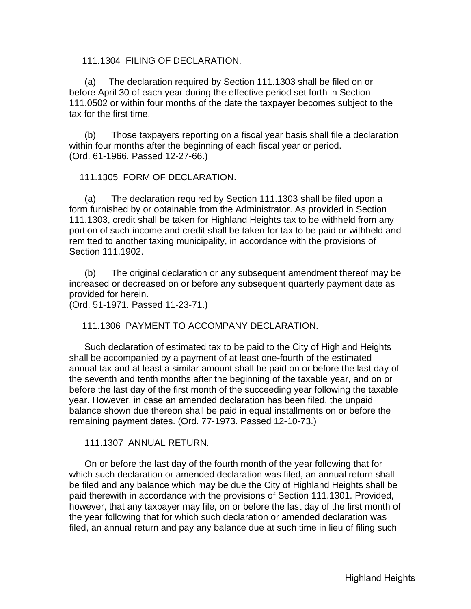#### <span id="page-16-0"></span>111.1304 FILING OF DECLARATION.

 (a) The declaration required by Section 111.1303 shall be filed on or before April 30 of each year during the effective period set forth in Section 111.0502 or within four months of the date the taxpayer becomes subject to the tax for the first time.

 (b) Those taxpayers reporting on a fiscal year basis shall file a declaration within four months after the beginning of each fiscal year or period. (Ord. 61-1966. Passed 12-27-66.)

#### 111.1305 FORM OF DECLARATION.

 (a) The declaration required by Section 111.1303 shall be filed upon a form furnished by or obtainable from the Administrator. As provided in Section 111.1303, credit shall be taken for Highland Heights tax to be withheld from any portion of such income and credit shall be taken for tax to be paid or withheld and remitted to another taxing municipality, in accordance with the provisions of Section 111.1902.

 (b) The original declaration or any subsequent amendment thereof may be increased or decreased on or before any subsequent quarterly payment date as provided for herein.

(Ord. 51-1971. Passed 11-23-71.)

111.1306 PAYMENT TO ACCOMPANY DECLARATION.

 Such declaration of estimated tax to be paid to the City of Highland Heights shall be accompanied by a payment of at least one-fourth of the estimated annual tax and at least a similar amount shall be paid on or before the last day of the seventh and tenth months after the beginning of the taxable year, and on or before the last day of the first month of the succeeding year following the taxable year. However, in case an amended declaration has been filed, the unpaid balance shown due thereon shall be paid in equal installments on or before the remaining payment dates. (Ord. 77-1973. Passed 12-10-73.)

111.1307 ANNUAL RETURN.

 On or before the last day of the fourth month of the year following that for which such declaration or amended declaration was filed, an annual return shall be filed and any balance which may be due the City of Highland Heights shall be paid therewith in accordance with the provisions of Section 111.1301. Provided, however, that any taxpayer may file, on or before the last day of the first month of the year following that for which such declaration or amended declaration was filed, an annual return and pay any balance due at such time in lieu of filing such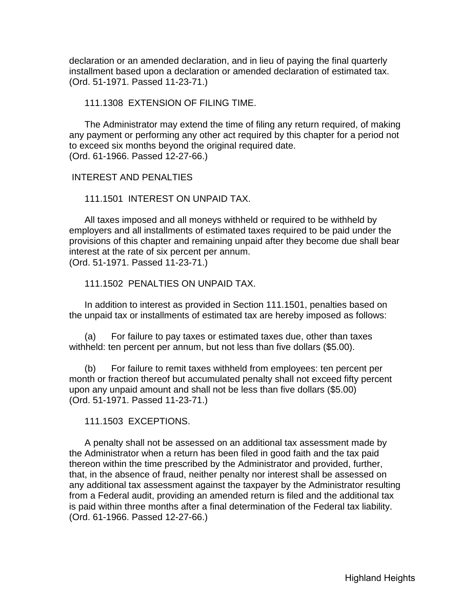<span id="page-17-0"></span>declaration or an amended declaration, and in lieu of paying the final quarterly installment based upon a declaration or amended declaration of estimated tax. (Ord. 51-1971. Passed 11-23-71.)

111.1308 EXTENSION OF FILING TIME.

 The Administrator may extend the time of filing any return required, of making any payment or performing any other act required by this chapter for a period not to exceed six months beyond the original required date. (Ord. 61-1966. Passed 12-27-66.)

#### INTEREST AND PENALTIES

111.1501 INTEREST ON UNPAID TAX.

 All taxes imposed and all moneys withheld or required to be withheld by employers and all installments of estimated taxes required to be paid under the provisions of this chapter and remaining unpaid after they become due shall bear interest at the rate of six percent per annum. (Ord. 51-1971. Passed 11-23-71.)

111.1502 PENALTIES ON UNPAID TAX.

 In addition to interest as provided in Section 111.1501, penalties based on the unpaid tax or installments of estimated tax are hereby imposed as follows:

 (a) For failure to pay taxes or estimated taxes due, other than taxes withheld: ten percent per annum, but not less than five dollars (\$5.00).

 (b) For failure to remit taxes withheld from employees: ten percent per month or fraction thereof but accumulated penalty shall not exceed fifty percent upon any unpaid amount and shall not be less than five dollars (\$5.00) (Ord. 51-1971. Passed 11-23-71.)

111.1503 EXCEPTIONS.

 A penalty shall not be assessed on an additional tax assessment made by the Administrator when a return has been filed in good faith and the tax paid thereon within the time prescribed by the Administrator and provided, further, that, in the absence of fraud, neither penalty nor interest shall be assessed on any additional tax assessment against the taxpayer by the Administrator resulting from a Federal audit, providing an amended return is filed and the additional tax is paid within three months after a final determination of the Federal tax liability. (Ord. 61-1966. Passed 12-27-66.)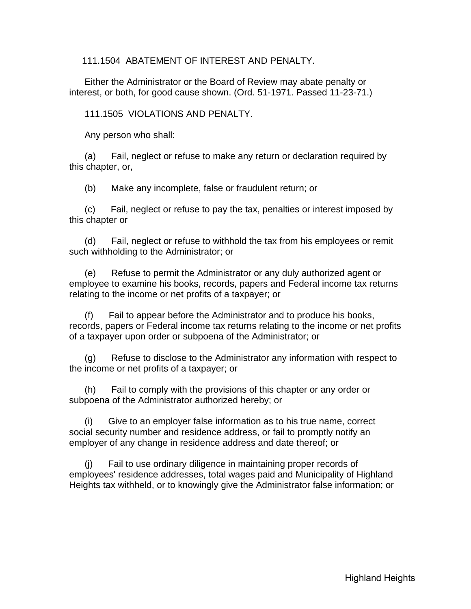<span id="page-18-0"></span>111.1504 ABATEMENT OF INTEREST AND PENALTY.

 Either the Administrator or the Board of Review may abate penalty or interest, or both, for good cause shown. (Ord. 51-1971. Passed 11-23-71.)

111.1505 VIOLATIONS AND PENALTY.

Any person who shall:

 (a) Fail, neglect or refuse to make any return or declaration required by this chapter, or,

(b) Make any incomplete, false or fraudulent return; or

 (c) Fail, neglect or refuse to pay the tax, penalties or interest imposed by this chapter or

 (d) Fail, neglect or refuse to withhold the tax from his employees or remit such withholding to the Administrator; or

 (e) Refuse to permit the Administrator or any duly authorized agent or employee to examine his books, records, papers and Federal income tax returns relating to the income or net profits of a taxpayer; or

 (f) Fail to appear before the Administrator and to produce his books, records, papers or Federal income tax returns relating to the income or net profits of a taxpayer upon order or subpoena of the Administrator; or

 (g) Refuse to disclose to the Administrator any information with respect to the income or net profits of a taxpayer; or

 (h) Fail to comply with the provisions of this chapter or any order or subpoena of the Administrator authorized hereby; or

 (i) Give to an employer false information as to his true name, correct social security number and residence address, or fail to promptly notify an employer of any change in residence address and date thereof; or

 (j) Fail to use ordinary diligence in maintaining proper records of employees' residence addresses, total wages paid and Municipality of Highland Heights tax withheld, or to knowingly give the Administrator false information; or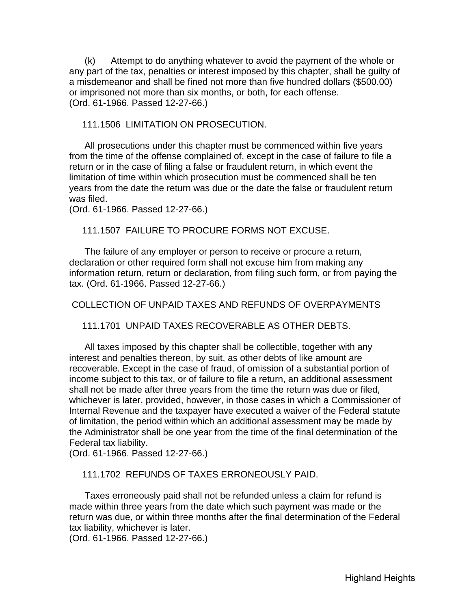<span id="page-19-0"></span> (k) Attempt to do anything whatever to avoid the payment of the whole or any part of the tax, penalties or interest imposed by this chapter, shall be guilty of a misdemeanor and shall be fined not more than five hundred dollars (\$500.00) or imprisoned not more than six months, or both, for each offense. (Ord. 61-1966. Passed 12-27-66.)

111.1506 LIMITATION ON PROSECUTION.

 All prosecutions under this chapter must be commenced within five years from the time of the offense complained of, except in the case of failure to file a return or in the case of filing a false or fraudulent return, in which event the limitation of time within which prosecution must be commenced shall be ten years from the date the return was due or the date the false or fraudulent return was filed.

(Ord. 61-1966. Passed 12-27-66.)

111.1507 FAILURE TO PROCURE FORMS NOT EXCUSE.

 The failure of any employer or person to receive or procure a return, declaration or other required form shall not excuse him from making any information return, return or declaration, from filing such form, or from paying the tax. (Ord. 61-1966. Passed 12-27-66.)

COLLECTION OF UNPAID TAXES AND REFUNDS OF OVERPAYMENTS

111.1701 UNPAID TAXES RECOVERABLE AS OTHER DEBTS.

 All taxes imposed by this chapter shall be collectible, together with any interest and penalties thereon, by suit, as other debts of like amount are recoverable. Except in the case of fraud, of omission of a substantial portion of income subject to this tax, or of failure to file a return, an additional assessment shall not be made after three years from the time the return was due or filed, whichever is later, provided, however, in those cases in which a Commissioner of Internal Revenue and the taxpayer have executed a waiver of the Federal statute of limitation, the period within which an additional assessment may be made by the Administrator shall be one year from the time of the final determination of the Federal tax liability.

(Ord. 61-1966. Passed 12-27-66.)

111.1702 REFUNDS OF TAXES ERRONEOUSLY PAID.

 Taxes erroneously paid shall not be refunded unless a claim for refund is made within three years from the date which such payment was made or the return was due, or within three months after the final determination of the Federal tax liability, whichever is later.

(Ord. 61-1966. Passed 12-27-66.)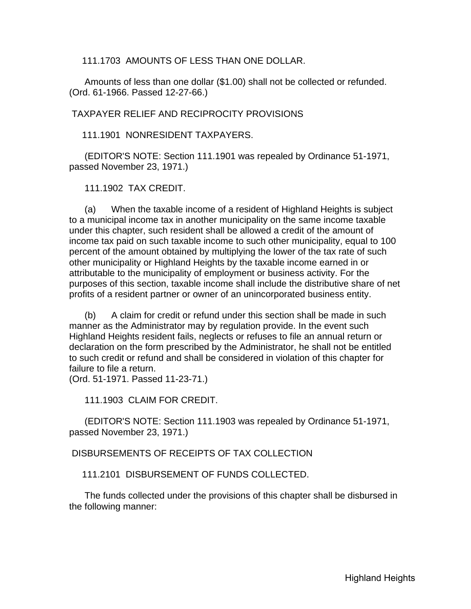<span id="page-20-0"></span>111.1703 AMOUNTS OF LESS THAN ONE DOLLAR.

 Amounts of less than one dollar (\$1.00) shall not be collected or refunded. (Ord. 61-1966. Passed 12-27-66.)

TAXPAYER RELIEF AND RECIPROCITY PROVISIONS

111.1901 NONRESIDENT TAXPAYERS.

 (EDITOR'S NOTE: Section 111.1901 was repealed by Ordinance 51-1971, passed November 23, 1971.)

111.1902 TAX CREDIT.

 (a) When the taxable income of a resident of Highland Heights is subject to a municipal income tax in another municipality on the same income taxable under this chapter, such resident shall be allowed a credit of the amount of income tax paid on such taxable income to such other municipality, equal to 100 percent of the amount obtained by multiplying the lower of the tax rate of such other municipality or Highland Heights by the taxable income earned in or attributable to the municipality of employment or business activity. For the purposes of this section, taxable income shall include the distributive share of net profits of a resident partner or owner of an unincorporated business entity.

 (b) A claim for credit or refund under this section shall be made in such manner as the Administrator may by regulation provide. In the event such Highland Heights resident fails, neglects or refuses to file an annual return or declaration on the form prescribed by the Administrator, he shall not be entitled to such credit or refund and shall be considered in violation of this chapter for failure to file a return.

(Ord. 51-1971. Passed 11-23-71.)

111.1903 CLAIM FOR CREDIT.

 (EDITOR'S NOTE: Section 111.1903 was repealed by Ordinance 51-1971, passed November 23, 1971.)

DISBURSEMENTS OF RECEIPTS OF TAX COLLECTION

111.2101 DISBURSEMENT OF FUNDS COLLECTED.

 The funds collected under the provisions of this chapter shall be disbursed in the following manner: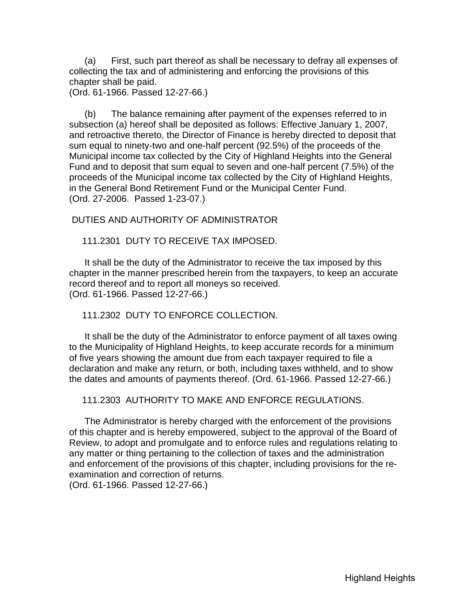<span id="page-21-0"></span> (a) First, such part thereof as shall be necessary to defray all expenses of collecting the tax and of administering and enforcing the provisions of this chapter shall be paid.

(Ord. 61-1966. Passed 12-27-66.)

 (b) The balance remaining after payment of the expenses referred to in subsection (a) hereof shall be deposited as follows: Effective January 1, 2007, and retroactive thereto, the Director of Finance is hereby directed to deposit that sum equal to ninety-two and one-half percent (92.5%) of the proceeds of the Municipal income tax collected by the City of Highland Heights into the General Fund and to deposit that sum equal to seven and one-half percent (7.5%) of the proceeds of the Municipal income tax collected by the City of Highland Heights, in the General Bond Retirement Fund or the Municipal Center Fund. (Ord. 27-2006. Passed 1-23-07.)

#### DUTIES AND AUTHORITY OF ADMINISTRATOR

111.2301 DUTY TO RECEIVE TAX IMPOSED.

 It shall be the duty of the Administrator to receive the tax imposed by this chapter in the manner prescribed herein from the taxpayers, to keep an accurate record thereof and to report all moneys so received. (Ord. 61-1966. Passed 12-27-66.)

#### 111.2302 DUTY TO ENFORCE COLLECTION.

 It shall be the duty of the Administrator to enforce payment of all taxes owing to the Municipality of Highland Heights, to keep accurate records for a minimum of five years showing the amount due from each taxpayer required to file a declaration and make any return, or both, including taxes withheld, and to show the dates and amounts of payments thereof. (Ord. 61-1966. Passed 12-27-66.)

111.2303 AUTHORITY TO MAKE AND ENFORCE REGULATIONS.

 The Administrator is hereby charged with the enforcement of the provisions of this chapter and is hereby empowered, subject to the approval of the Board of Review, to adopt and promulgate and to enforce rules and regulations relating to any matter or thing pertaining to the collection of taxes and the administration and enforcement of the provisions of this chapter, including provisions for the reexamination and correction of returns.

(Ord. 61-1966. Passed 12-27-66.)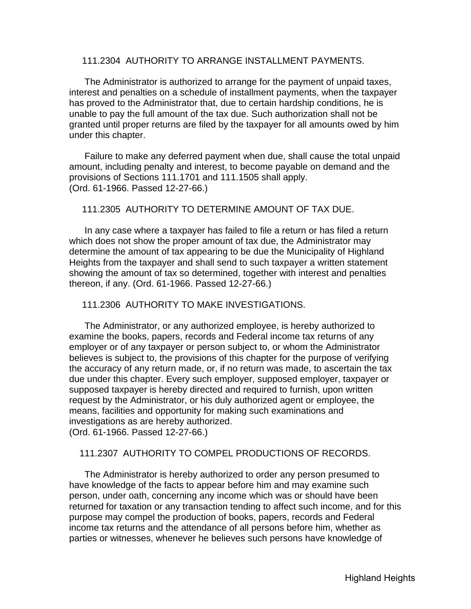#### <span id="page-22-0"></span>111.2304 AUTHORITY TO ARRANGE INSTALLMENT PAYMENTS.

 The Administrator is authorized to arrange for the payment of unpaid taxes, interest and penalties on a schedule of installment payments, when the taxpayer has proved to the Administrator that, due to certain hardship conditions, he is unable to pay the full amount of the tax due. Such authorization shall not be granted until proper returns are filed by the taxpayer for all amounts owed by him under this chapter.

 Failure to make any deferred payment when due, shall cause the total unpaid amount, including penalty and interest, to become payable on demand and the provisions of Sections 111.1701 and 111.1505 shall apply. (Ord. 61-1966. Passed 12-27-66.)

### 111.2305 AUTHORITY TO DETERMINE AMOUNT OF TAX DUE.

 In any case where a taxpayer has failed to file a return or has filed a return which does not show the proper amount of tax due, the Administrator may determine the amount of tax appearing to be due the Municipality of Highland Heights from the taxpayer and shall send to such taxpayer a written statement showing the amount of tax so determined, together with interest and penalties thereon, if any. (Ord. 61-1966. Passed 12-27-66.)

111.2306 AUTHORITY TO MAKE INVESTIGATIONS.

 The Administrator, or any authorized employee, is hereby authorized to examine the books, papers, records and Federal income tax returns of any employer or of any taxpayer or person subject to, or whom the Administrator believes is subject to, the provisions of this chapter for the purpose of verifying the accuracy of any return made, or, if no return was made, to ascertain the tax due under this chapter. Every such employer, supposed employer, taxpayer or supposed taxpayer is hereby directed and required to furnish, upon written request by the Administrator, or his duly authorized agent or employee, the means, facilities and opportunity for making such examinations and investigations as are hereby authorized. (Ord. 61-1966. Passed 12-27-66.)

#### 111.2307 AUTHORITY TO COMPEL PRODUCTIONS OF RECORDS.

 The Administrator is hereby authorized to order any person presumed to have knowledge of the facts to appear before him and may examine such person, under oath, concerning any income which was or should have been returned for taxation or any transaction tending to affect such income, and for this purpose may compel the production of books, papers, records and Federal income tax returns and the attendance of all persons before him, whether as parties or witnesses, whenever he believes such persons have knowledge of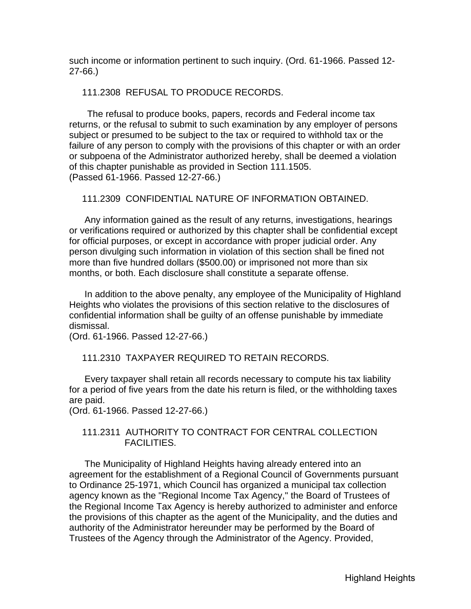<span id="page-23-0"></span>such income or information pertinent to such inquiry. (Ord. 61-1966. Passed 12- 27-66.)

#### 111.2308 REFUSAL TO PRODUCE RECORDS.

 The refusal to produce books, papers, records and Federal income tax returns, or the refusal to submit to such examination by any employer of persons subject or presumed to be subject to the tax or required to withhold tax or the failure of any person to comply with the provisions of this chapter or with an order or subpoena of the Administrator authorized hereby, shall be deemed a violation of this chapter punishable as provided in Section 111.1505. (Passed 61-1966. Passed 12-27-66.)

#### 111.2309 CONFIDENTIAL NATURE OF INFORMATION OBTAINED.

 Any information gained as the result of any returns, investigations, hearings or verifications required or authorized by this chapter shall be confidential except for official purposes, or except in accordance with proper judicial order. Any person divulging such information in violation of this section shall be fined not more than five hundred dollars (\$500.00) or imprisoned not more than six months, or both. Each disclosure shall constitute a separate offense.

 In addition to the above penalty, any employee of the Municipality of Highland Heights who violates the provisions of this section relative to the disclosures of confidential information shall be guilty of an offense punishable by immediate dismissal.

(Ord. 61-1966. Passed 12-27-66.)

### 111.2310 TAXPAYER REQUIRED TO RETAIN RECORDS.

 Every taxpayer shall retain all records necessary to compute his tax liability for a period of five years from the date his return is filed, or the withholding taxes are paid.

(Ord. 61-1966. Passed 12-27-66.)

### 111.2311 AUTHORITY TO CONTRACT FOR CENTRAL COLLECTION FACILITIES.

 The Municipality of Highland Heights having already entered into an agreement for the establishment of a Regional Council of Governments pursuant to Ordinance 25-1971, which Council has organized a municipal tax collection agency known as the "Regional Income Tax Agency," the Board of Trustees of the Regional Income Tax Agency is hereby authorized to administer and enforce the provisions of this chapter as the agent of the Municipality, and the duties and authority of the Administrator hereunder may be performed by the Board of Trustees of the Agency through the Administrator of the Agency. Provided,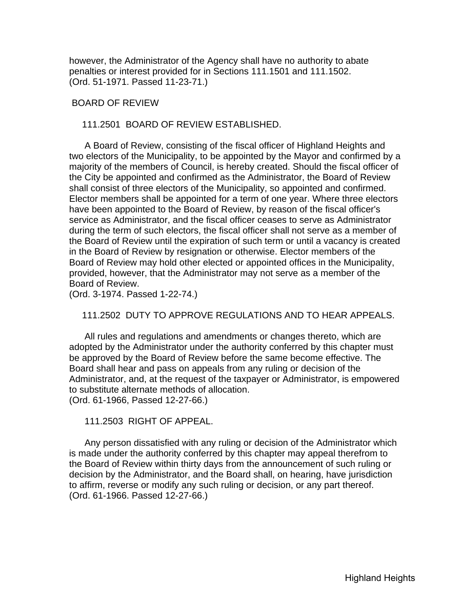<span id="page-24-0"></span>however, the Administrator of the Agency shall have no authority to abate penalties or interest provided for in Sections 111.1501 and 111.1502. (Ord. 51-1971. Passed 11-23-71.)

#### BOARD OF REVIEW

111.2501 BOARD OF REVIEW ESTABLISHED.

 A Board of Review, consisting of the fiscal officer of Highland Heights and two electors of the Municipality, to be appointed by the Mayor and confirmed by a majority of the members of Council, is hereby created. Should the fiscal officer of the City be appointed and confirmed as the Administrator, the Board of Review shall consist of three electors of the Municipality, so appointed and confirmed. Elector members shall be appointed for a term of one year. Where three electors have been appointed to the Board of Review, by reason of the fiscal officer's service as Administrator, and the fiscal officer ceases to serve as Administrator during the term of such electors, the fiscal officer shall not serve as a member of the Board of Review until the expiration of such term or until a vacancy is created in the Board of Review by resignation or otherwise. Elector members of the Board of Review may hold other elected or appointed offices in the Municipality, provided, however, that the Administrator may not serve as a member of the Board of Review.

(Ord. 3-1974. Passed 1-22-74.)

#### 111.2502 DUTY TO APPROVE REGULATIONS AND TO HEAR APPEALS.

 All rules and regulations and amendments or changes thereto, which are adopted by the Administrator under the authority conferred by this chapter must be approved by the Board of Review before the same become effective. The Board shall hear and pass on appeals from any ruling or decision of the Administrator, and, at the request of the taxpayer or Administrator, is empowered to substitute alternate methods of allocation. (Ord. 61-1966, Passed 12-27-66.)

111.2503 RIGHT OF APPEAL.

 Any person dissatisfied with any ruling or decision of the Administrator which is made under the authority conferred by this chapter may appeal therefrom to the Board of Review within thirty days from the announcement of such ruling or decision by the Administrator, and the Board shall, on hearing, have jurisdiction to affirm, reverse or modify any such ruling or decision, or any part thereof. (Ord. 61-1966. Passed 12-27-66.)